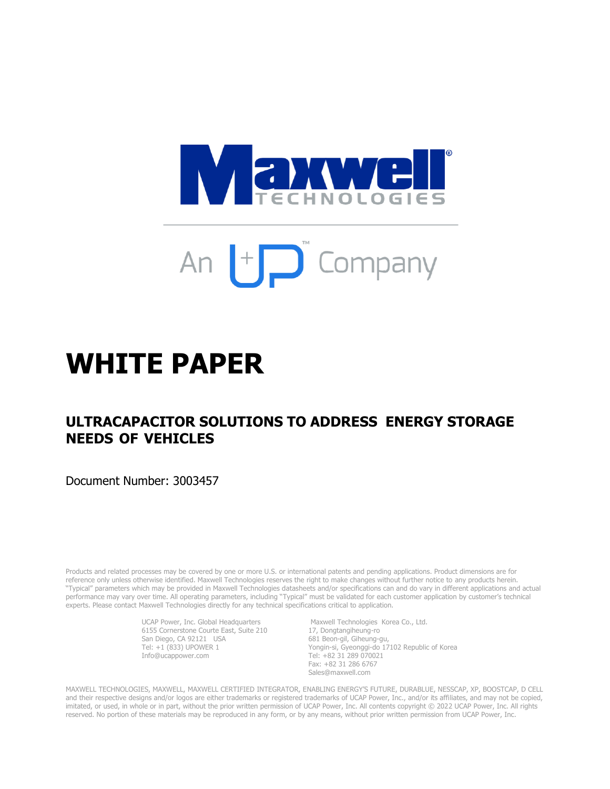

# An  $\Box$  Company

## **WHITE PAPER**

### **ULTRACAPACITOR SOLUTIONS TO ADDRESS ENERGY STORAGE NEEDS OF VEHICLES**

Document Number: 3003457

Products and related processes may be covered by one or more U.S. or international patents and pending applications. Product dimensions are for reference only unless otherwise identified. Maxwell Technologies reserves the right to make changes without further notice to any products herein. "Typical" parameters which may be provided in Maxwell Technologies datasheets and/or specifications can and do vary in different applications and actual performance may vary over time. All operating parameters, including "Typical" must be validated for each customer application by customer's technical experts. Please contact Maxwell Technologies directly for any technical specifications critical to application.

> UCAP Power, Inc. Global Headquarters Maxwell Technologies Korea Co., Ltd. 6155 Cornerstone Courte East, Suite 210 17, Dongtangiheung-ro San Diego, CA 92121 USA 681 Beon-gil, Giheung-gu, Tel: +1 (833) UPOWER 1 Info@ucappower.com

Yongin-si, Gyeonggi-do  $17102$  Republic of Korea<br>Tel: +82 31 289 070021 Fax: +82 31 286 6767 Sales@maxwell.com

MAXWELL TECHNOLOGIES, MAXWELL, MAXWELL CERTIFIED INTEGRATOR, ENABLING ENERGY'S FUTURE, DURABLUE, NESSCAP, XP, BOOSTCAP, D CELL and their respective designs and/or logos are either trademarks or registered trademarks of UCAP Power, Inc., and/or its affiliates, and may not be copied, imitated, or used, in whole or in part, without the prior written permission of UCAP Power, Inc. All contents copyright © 2022 UCAP Power, Inc. All rights reserved. No portion of these materials may be reproduced in any form, or by any means, without prior written permission from UCAP Power, Inc.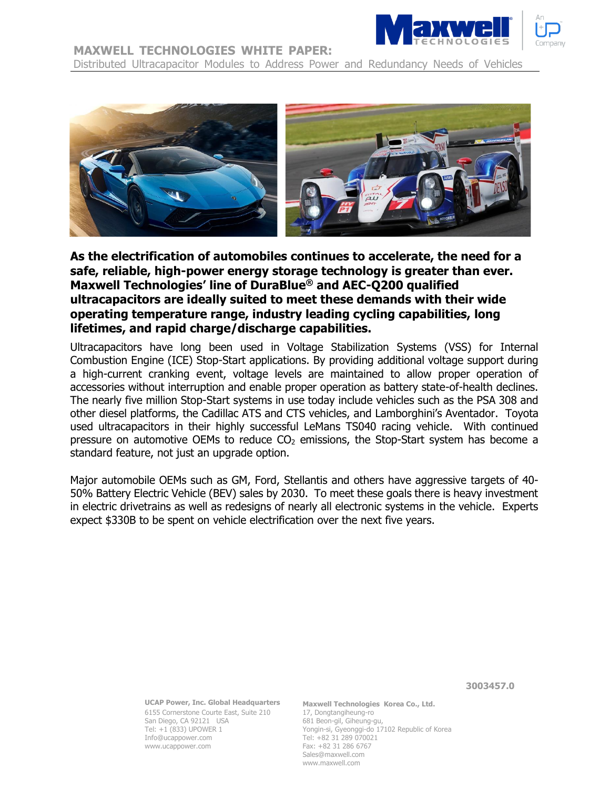

#### **MAXWELL TECHNOLOGIES WHITE PAPER:**

Distributed Ultracapacitor Modules to Address Power and Redundancy Needs of Vehicles



**As the electrification of automobiles continues to accelerate, the need for a safe, reliable, high-power energy storage technology is greater than ever. Maxwell Technologies' line of DuraBlue® and AEC-Q200 qualified ultracapacitors are ideally suited to meet these demands with their wide operating temperature range, industry leading cycling capabilities, long lifetimes, and rapid charge/discharge capabilities.**

Ultracapacitors have long been used in Voltage Stabilization Systems (VSS) for Internal Combustion Engine (ICE) Stop-Start applications. By providing additional voltage support during a high-current cranking event, voltage levels are maintained to allow proper operation of accessories without interruption and enable proper operation as battery state-of-health declines. The nearly five million Stop-Start systems in use today include vehicles such as the PSA 308 and other diesel platforms, the Cadillac ATS and CTS vehicles, and Lamborghini's Aventador. Toyota used ultracapacitors in their highly successful LeMans TS040 racing vehicle. With continued pressure on automotive OEMs to reduce  $CO<sub>2</sub>$  emissions, the Stop-Start system has become a standard feature, not just an upgrade option.

Major automobile OEMs such as GM, Ford, Stellantis and others have aggressive targets of 40- 50% Battery Electric Vehicle (BEV) sales by 2030. To meet these goals there is heavy investment in electric drivetrains as well as redesigns of nearly all electronic systems in the vehicle. Experts expect \$330B to be spent on vehicle electrification over the next five years.

> **UCAP Power, Inc. Global Headquarters** 6155 Cornerstone Courte East, Suite 210 17, Dongtangiheung-ro<br>San Diego, CA 92121 USA 681 Beon-gil, Giheung-gu, San Diego, CA 92121 USA<br>Tel: +1 (833) UPOWER 1 Info@ucappower.com Tel: +82 31 289 070021 www.ucappower.com Fax: +82 31 286 6767

**Maxwell Technologies Korea Co., Ltd.** Yongin-si, Gyeonggi-do 17102 Republic of Korea Sales@maxwell.com www.maxwell.com

 **3003457.0**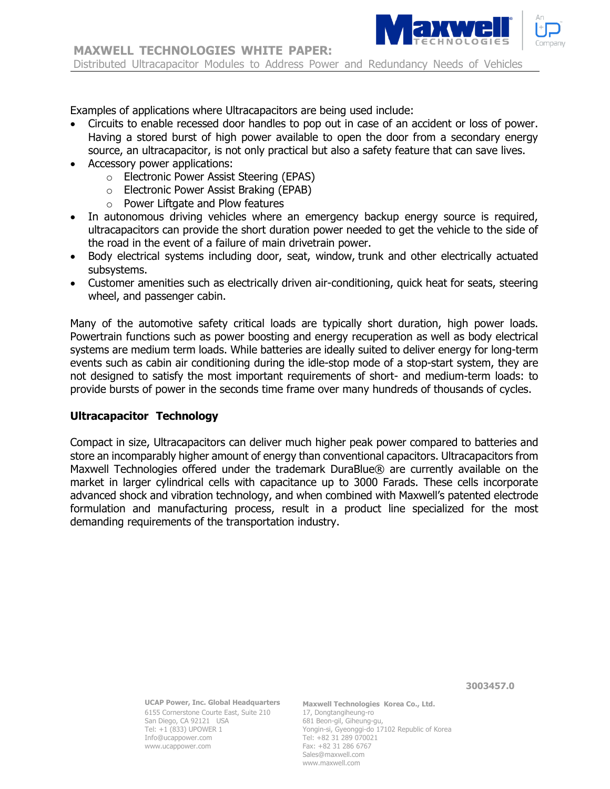

Examples of applications where Ultracapacitors are being used include:

- Circuits to enable recessed door handles to pop out in case of an accident or loss of power. Having a stored burst of high power available to open the door from a secondary energy source, an ultracapacitor, is not only practical but also a safety feature that can save lives.
- Accessory power applications:
	- o Electronic Power Assist Steering (EPAS)
	- o Electronic Power Assist Braking (EPAB)
	- o Power Liftgate and Plow features
- In autonomous driving vehicles where an emergency backup energy source is required, ultracapacitors can provide the short duration power needed to get the vehicle to the side of the road in the event of a failure of main drivetrain power.
- Body electrical systems including door, seat, window, trunk and other electrically actuated subsystems.
- Customer amenities such as electrically driven air-conditioning, quick heat for seats, steering wheel, and passenger cabin.

Many of the automotive safety critical loads are typically short duration, high power loads. Powertrain functions such as power boosting and energy recuperation as well as body electrical systems are medium term loads. While batteries are ideally suited to deliver energy for long-term events such as cabin air conditioning during the idle-stop mode of a stop-start system, they are not designed to satisfy the most important requirements of short- and medium-term loads: to provide bursts of power in the seconds time frame over many hundreds of thousands of cycles.

#### **Ultracapacitor Technology**

Compact in size, Ultracapacitors can deliver much higher peak power compared to batteries and store an incomparably higher amount of energy than conventional capacitors. Ultracapacitors from Maxwell Technologies offered under the trademark DuraBlue® are currently available on the market in larger cylindrical cells with capacitance up to 3000 Farads. These cells incorporate advanced shock and vibration technology, and when combined with Maxwell's patented electrode formulation and manufacturing process, result in a product line specialized for the most demanding requirements of the transportation industry.

 **3003457.0**

**UCAP Power, Inc. Global Headquarters** 6155 Cornerstone Courte East, Suite 210 17, Dongtangiheung-ro<br>San Diego, CA 92121 USA 681 Beon-gil, Giheung-gu, San Diego, CA 92121 USA<br>Tel: +1 (833) UPOWER 1 Info@ucappower.com Tel: +82 31 289 070021 www.ucappower.com Fax: +82 31 286 6767

**Maxwell Technologies Korea Co., Ltd.** Yongin-si, Gyeonggi-do 17102 Republic of Korea Sales@maxwell.com www.maxwell.com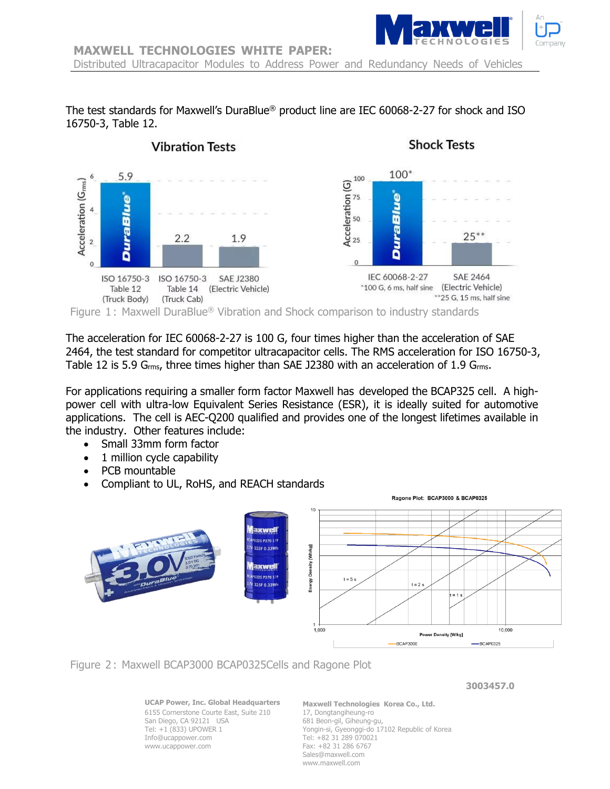

Distributed Ultracapacitor Modules to Address Power and Redundancy Needs of Vehicles

The test standards for Maxwell's DuraBlue® product line are IEC 60068-2-27 for shock and ISO 16750-3, Table 12.



The acceleration for IEC 60068-2-27 is 100 G, four times higher than the acceleration of SAE 2464, the test standard for competitor ultracapacitor cells. The RMS acceleration for ISO 16750-3, Table 12 is 5.9  $G<sub>rms</sub>$ , three times higher than SAE J2380 with an acceleration of 1.9  $G<sub>rms</sub>$ .

For applications requiring a smaller form factor Maxwell has developed the BCAP325 cell. A highpower cell with ultra-low Equivalent Series Resistance (ESR), it is ideally suited for automotive applications. The cell is AEC-Q200 qualified and provides one of the longest lifetimes available in the industry. Other features include:

- Small 33mm form factor
- 1 million cycle capability
- PCB mountable
- Compliant to UL, RoHS, and REACH standards



Figure 2 : Maxwell BCAP3000 BCAP0325Cells and Ragone Plot

 **3003457.0**

**UCAP Power, Inc. Global Headquarters** 6155 Cornerstone Courte East, Suite 210 17, Dongtangiheung-ro<br>San Diego, CA 92121 USA 681 Beon-gil, Giheung-gu, San Diego, CA 92121 USA<br>Tel: +1 (833) UPOWER 1 Info@ucappower.com Tel: +82 31 289 070021 www.ucappower.com Fax: +82 31 286 6767

**Maxwell Technologies Korea Co., Ltd.** Yongin-si, Gyeonggi-do 17102 Republic of Korea Sales@maxwell.com www.maxwell.com

Ragone Plot: BCAP3000 & BCAP0325